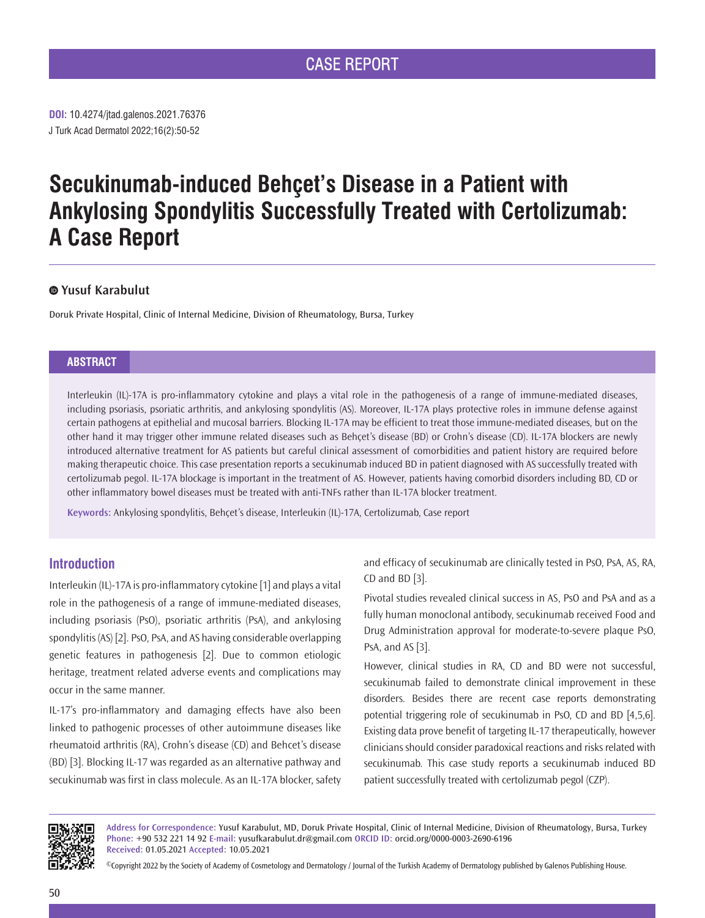# CASE REPORT

J Turk Acad Dermatol 2022;16(2):50-52 **DOI:** 10.4274/jtad.galenos.2021.76376

# **Secukinumab-induced Behçet's Disease in a Patient with Ankylosing Spondylitis Successfully Treated with Certolizumab: A Case Report**

# **Yusuf Karabulut**

Doruk Private Hospital, Clinic of Internal Medicine, Division of Rheumatology, Bursa, Turkey

### **ABSTRACT**

Interleukin (IL)-17A is pro-inflammatory cytokine and plays a vital role in the pathogenesis of a range of immune-mediated diseases, including psoriasis, psoriatic arthritis, and ankylosing spondylitis (AS). Moreover, IL-17A plays protective roles in immune defense against certain pathogens at epithelial and mucosal barriers. Blocking IL-17A may be efficient to treat those immune-mediated diseases, but on the other hand it may trigger other immune related diseases such as Behçet's disease (BD) or Crohn's disease (CD). IL-17A blockers are newly introduced alternative treatment for AS patients but careful clinical assessment of comorbidities and patient history are required before making therapeutic choice. This case presentation reports a secukinumab induced BD in patient diagnosed with AS successfully treated with certolizumab pegol. IL-17A blockage is important in the treatment of AS. However, patients having comorbid disorders including BD, CD or other inflammatory bowel diseases must be treated with anti-TNFs rather than IL-17A blocker treatment.

**Keywords:** Ankylosing spondylitis, Behçet's disease, Interleukin (IL)-17A, Certolizumab, Case report

## **Introduction**

Interleukin (IL)-17A is pro-inflammatory cytokine [1] and plays a vital role in the pathogenesis of a range of immune-mediated diseases, including psoriasis (PsO), psoriatic arthritis (PsA), and ankylosing spondylitis (AS) [2]. PsO, PsA, and AS having considerable overlapping genetic features in pathogenesis [2]. Due to common etiologic heritage, treatment related adverse events and complications may occur in the same manner.

IL-17's pro-inflammatory and damaging effects have also been linked to pathogenic processes of other autoimmune diseases like rheumatoid arthritis (RA), Crohn's disease (CD) and Behcet's disease (BD) [3]. Blocking IL-17 was regarded as an alternative pathway and secukinumab was first in class molecule. As an IL-17A blocker, safety and efficacy of secukinumab are clinically tested in PsO, PsA, AS, RA, CD and BD [3].

Pivotal studies revealed clinical success in AS, PsO and PsA and as a fully human monoclonal antibody, secukinumab received Food and Drug Administration approval for moderate-to-severe plaque PsO, PsA, and AS [3].

However, clinical studies in RA, CD and BD were not successful, secukinumab failed to demonstrate clinical improvement in these disorders. Besides there are recent case reports demonstrating potential triggering role of secukinumab in PsO, CD and BD [4,5,6]. Existing data prove benefit of targeting IL-17 therapeutically, however clinicians should consider paradoxical reactions and risks related with secukinumab. This case study reports a secukinumab induced BD patient successfully treated with certolizumab pegol (CZP).



**Address for Correspondence:** Yusuf Karabulut, MD, Doruk Private Hospital, Clinic of Internal Medicine, Division of Rheumatology, Bursa, Turkey **Phone:** +90 532 221 14 92 **E-mail:** yusufkarabulut.dr@gmail.com **ORCID ID:** orcid.org/0000-0003-2690-6196 **Received:** 01.05.2021 **Accepted:** 10.05.2021

©Copyright 2022 by the Society of Academy of Cosmetology and Dermatology / Journal of the Turkish Academy of Dermatology published by Galenos Publishing House.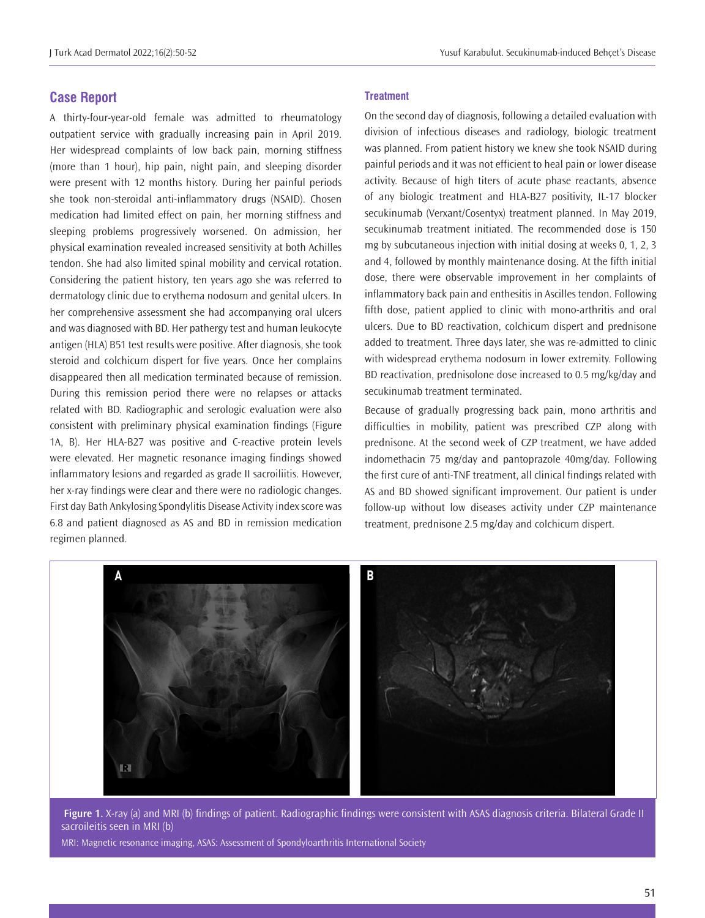## **Case Report**

A thirty-four-year-old female was admitted to rheumatology outpatient service with gradually increasing pain in April 2019. Her widespread complaints of low back pain, morning stiffness (more than 1 hour), hip pain, night pain, and sleeping disorder were present with 12 months history. During her painful periods she took non-steroidal anti-inflammatory drugs (NSAID). Chosen medication had limited effect on pain, her morning stiffness and sleeping problems progressively worsened. On admission, her physical examination revealed increased sensitivity at both Achilles tendon. She had also limited spinal mobility and cervical rotation. Considering the patient history, ten years ago she was referred to dermatology clinic due to erythema nodosum and genital ulcers. In her comprehensive assessment she had accompanying oral ulcers and was diagnosed with BD. Her pathergy test and human leukocyte antigen (HLA) B51 test results were positive. After diagnosis, she took steroid and colchicum dispert for five years. Once her complains disappeared then all medication terminated because of remission. During this remission period there were no relapses or attacks related with BD. Radiographic and serologic evaluation were also consistent with preliminary physical examination findings (Figure 1A, B). Her HLA-B27 was positive and C-reactive protein levels were elevated. Her magnetic resonance imaging findings showed inflammatory lesions and regarded as grade II sacroiliitis. However, her x-ray findings were clear and there were no radiologic changes. First day Bath Ankylosing Spondylitis Disease Activity index score was 6.8 and patient diagnosed as AS and BD in remission medication regimen planned.

#### **Treatment**

On the second day of diagnosis, following a detailed evaluation with division of infectious diseases and radiology, biologic treatment was planned. From patient history we knew she took NSAID during painful periods and it was not efficient to heal pain or lower disease activity. Because of high titers of acute phase reactants, absence of any biologic treatment and HLA-B27 positivity, IL-17 blocker secukinumab (Verxant/Cosentyx) treatment planned. In May 2019, secukinumab treatment initiated. The recommended dose is 150 mg by subcutaneous injection with initial dosing at weeks 0, 1, 2, 3 and 4, followed by monthly maintenance dosing. At the fifth initial dose, there were observable improvement in her complaints of inflammatory back pain and enthesitis in Ascilles tendon. Following fifth dose, patient applied to clinic with mono-arthritis and oral ulcers. Due to BD reactivation, colchicum dispert and prednisone added to treatment. Three days later, she was re-admitted to clinic with widespread erythema nodosum in lower extremity. Following BD reactivation, prednisolone dose increased to 0.5 mg/kg/day and secukinumab treatment terminated.

Because of gradually progressing back pain, mono arthritis and difficulties in mobility, patient was prescribed CZP along with prednisone. At the second week of CZP treatment, we have added indomethacin 75 mg/day and pantoprazole 40mg/day. Following the first cure of anti-TNF treatment, all clinical findings related with AS and BD showed significant improvement. Our patient is under follow-up without low diseases activity under CZP maintenance treatment, prednisone 2.5 mg/day and colchicum dispert.



**Figure 1.** X-ray (a) and MRI (b) findings of patient. Radiographic findings were consistent with ASAS diagnosis criteria. Bilateral Grade II sacroileitis seen in MRI (b)

MRI: Magnetic resonance imaging, ASAS: Assessment of Spondyloarthritis International Society